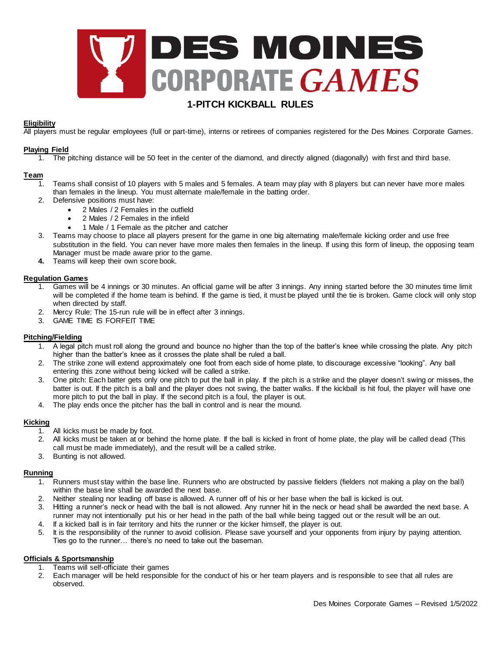

# **1-PITCH KICKBALL RULES**

## **Eligibility**

All players must be regular employees (full or part-time), interns or retirees of companies registered for the Des Moines Corporate Games.

#### **Playing Field**

1. The pitching distance will be 50 feet in the center of the diamond, and directly aligned (diagonally) with first and third base.

## **Team**

- 1. Teams shall consist of 10 players with 5 males and 5 females. A team may play with 8 players but can never have more males than females in the lineup. You must alternate male/female in the batting order.
	- 2. Defensive positions must have:
		- 2 Males / 2 Females in the outfield
		- 2 Males / 2 Females in the infield
		- 1 Male / 1 Female as the pitcher and catcher
	- 3. Teams may choose to place all players present for the game in one big alternating male/female kicking order and use free substitution in the field. You can never have more males then females in the lineup. If using this form of lineup, the opposing team Manager must be made aware prior to the game.
	- **4.** Teams will keep their own score book.

## **Regulation Games**

- 1. Games will be 4 innings or 30 minutes. An official game will be after 3 innings. Any inning started before the 30 minutes time limit will be completed if the home team is behind. If the game is tied, it must be played until the tie is broken. Game clock will only stop when directed by staff.
- 2. Mercy Rule: The 15-run rule will be in effect after 3 innings.
- 3. GAME TIME IS FORFEIT TIME

## **Pitching/Fielding**

- 1. A legal pitch must roll along the ground and bounce no higher than the top of the batter's knee while crossing the plate. Any pitch higher than the batter's knee as it crosses the plate shall be ruled a ball.
- 2. The strike zone will extend approximately one foot from each side of home plate, to discourage excessive "looking". Any ball entering this zone without being kicked will be called a strike.
- 3. One pitch: Each batter gets only one pitch to put the ball in play. If the pitch is a strike and the player doesn't swing or misses, the batter is out. If the pitch is a ball and the player does not swing, the batter walks. If the kickball is hit foul, the player will have one more pitch to put the ball in play. If the second pitch is a foul, the player is out.
- 4. The play ends once the pitcher has the ball in control and is near the mound.

#### **Kicking**

- $1.$  All kicks must be made by foot.
- 2. All kicks must be taken at or behind the home plate. If the ball is kicked in front of home plate, the play will be called dead (This call must be made immediately), and the result will be a called strike.
- 3. Bunting is not allowed.

### **Running**

- 1. Runners must stay within the base line. Runners who are obstructed by passive fielders (fielders not making a play on the ball) within the base line shall be awarded the next base.
- 2. Neither stealing nor leading off base is allowed. A runner off of his or her base when the ball is kicked is out.
- 3. Hitting a runner's neck or head with the ball is not allowed. Any runner hit in the neck or head shall be awarded the next base. A runner may not intentionally put his or her head in the path of the ball while being tagged out or the result will be an out. 4. If a kicked ball is in fair territory and hits the runner or the kicker himself, the player is out.
- 5. It is the responsibility of the runner to avoid collision. Please save yourself and your opponents from injury by paying attention. Ties go to the runner… there's no need to take out the baseman.

#### **Officials & Sportsmanship**

- 1. Teams will self-officiate their games
- 2. Each manager will be held responsible for the conduct of his or her team players and is responsible to see that all rules are observed.